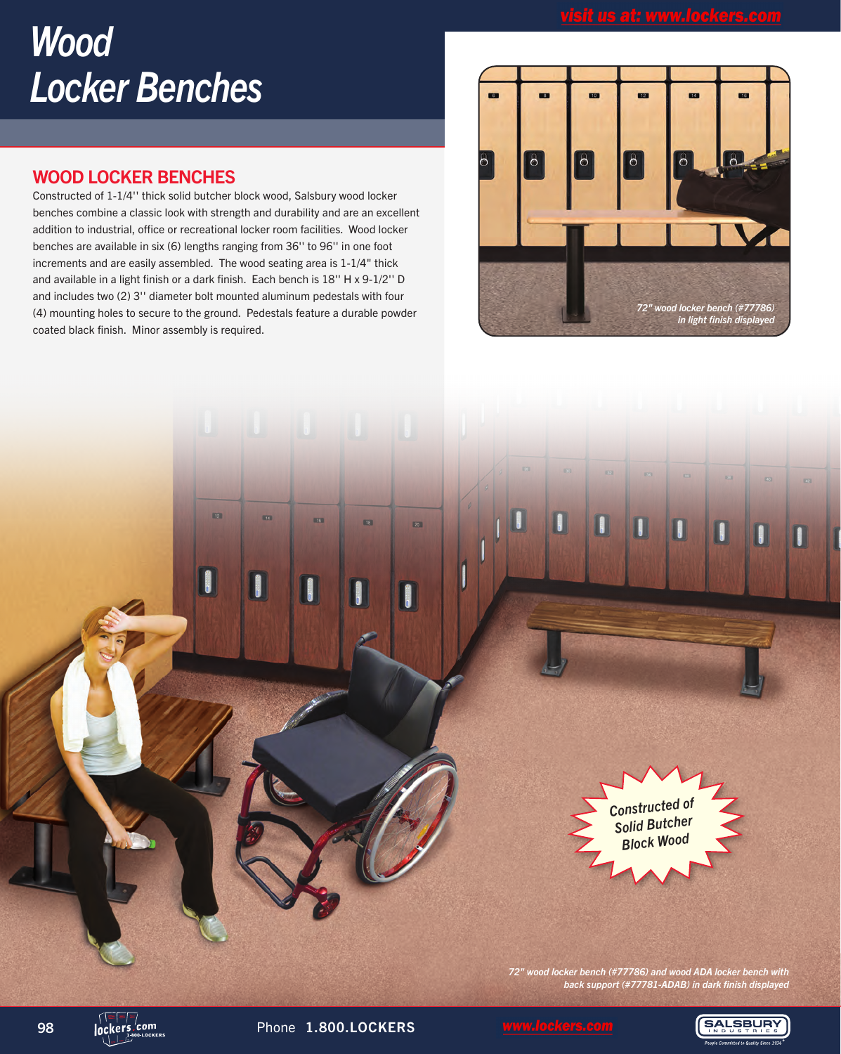# *Wood Locker Benches*

## WOOD LOCKER BENCHES

Constructed of 1-1/4'' thick solid butcher block wood, Salsbury wood locker benches combine a classic look with strength and durability and are an excellent addition to industrial, office or recreational locker room facilities. Wood locker benches are available in six (6) lengths ranging from 36'' to 96'' in one foot increments and are easily assembled. The wood seating area is 1-1/4" thick and available in a light finish or a dark finish. Each bench is 18'' H x 9-1/2'' D and includes two (2) 3'' diameter bolt mounted aluminum pedestals with four (4) mounting holes to secure to the ground. Pedestals feature a durable powder coated black finish. Minor assembly is required.





*72" wood locker bench (#77786) and wood ADA locker bench with back support (#77781-ADAB) in dark finish displayed*

98 lockers.com Phone 1.800.LOCKERS